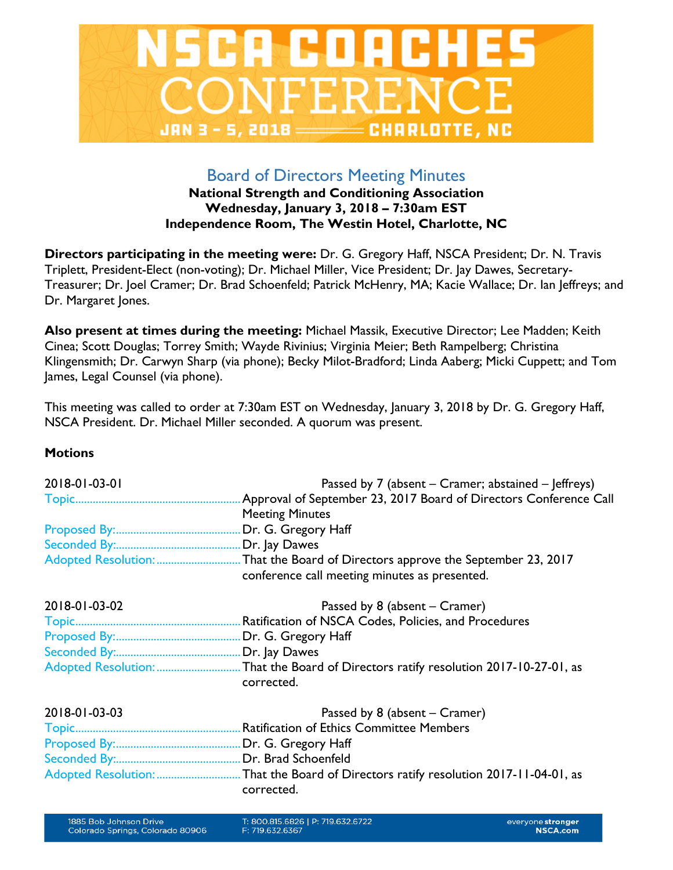

# Board of Directors Meeting Minutes

## **National Strength and Conditioning Association Wednesday, January 3, 2018 – 7:30am EST Independence Room, The Westin Hotel, Charlotte, NC**

**Directors participating in the meeting were:** Dr. G. Gregory Haff, NSCA President; Dr. N. Travis Triplett, President-Elect (non-voting); Dr. Michael Miller, Vice President; Dr. Jay Dawes, Secretary-Treasurer; Dr. Joel Cramer; Dr. Brad Schoenfeld; Patrick McHenry, MA; Kacie Wallace; Dr. Ian Jeffreys; and Dr. Margaret Jones.

**Also present at times during the meeting:** Michael Massik, Executive Director; Lee Madden; Keith Cinea; Scott Douglas; Torrey Smith; Wayde Rivinius; Virginia Meier; Beth Rampelberg; Christina Klingensmith; Dr. Carwyn Sharp (via phone); Becky Milot-Bradford; Linda Aaberg; Micki Cuppett; and Tom James, Legal Counsel (via phone).

This meeting was called to order at 7:30am EST on Wednesday, January 3, 2018 by Dr. G. Gregory Haff, NSCA President. Dr. Michael Miller seconded. A quorum was present.

## **Motions**

| 2018-01-03-01 | Passed by 7 (absent – Cramer; abstained – Jeffreys)               |
|---------------|-------------------------------------------------------------------|
|               | Approval of September 23, 2017 Board of Directors Conference Call |
|               | <b>Meeting Minutes</b>                                            |
|               | Dr. G. Gregory Haff                                               |
|               |                                                                   |
|               |                                                                   |
|               | conference call meeting minutes as presented.                     |
| 2018-01-03-02 | Passed by 8 (absent – Cramer)                                     |
|               | Ratification of NSCA Codes, Policies, and Procedures              |
|               |                                                                   |
|               |                                                                   |
|               |                                                                   |
|               | corrected.                                                        |
| 2018-01-03-03 | Passed by 8 (absent – Cramer)                                     |
|               | <b>Ratification of Ethics Committee Members</b>                   |
|               |                                                                   |
|               |                                                                   |
|               |                                                                   |
|               | corrected.                                                        |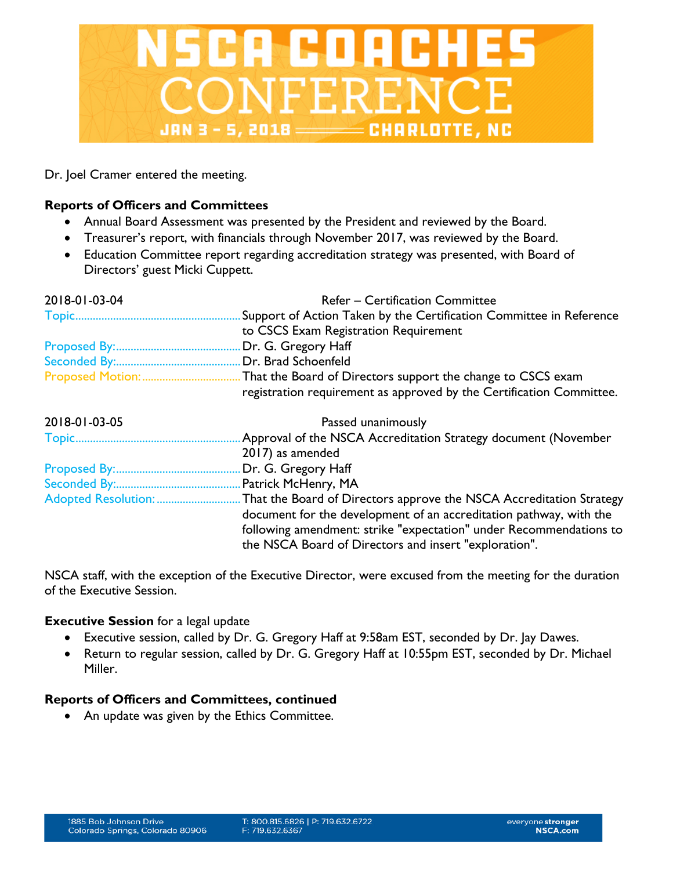

Dr. Joel Cramer entered the meeting.

## **Reports of Officers and Committees**

- Annual Board Assessment was presented by the President and reviewed by the Board.
- Treasurer's report, with financials through November 2017, was reviewed by the Board.
- Education Committee report regarding accreditation strategy was presented, with Board of Directors' guest Micki Cuppett.

| 2018-01-03-04 | <b>Refer – Certification Committee</b>                               |
|---------------|----------------------------------------------------------------------|
|               | Support of Action Taken by the Certification Committee in Reference  |
|               | to CSCS Exam Registration Requirement                                |
|               | Dr. G. Gregory Haff                                                  |
|               | Dr. Brad Schoenfeld                                                  |
|               | registration requirement as approved by the Certification Committee. |
| 2018-01-03-05 | Passed unanimously                                                   |
|               | Approval of the NSCA Accreditation Strategy document (November       |
|               | 2017) as amended                                                     |

|--|--|--|--|--|

| document for the development of an accreditation pathway, with the |
|--------------------------------------------------------------------|
| following amendment: strike "expectation" under Recommendations to |
| the NSCA Board of Directors and insert "exploration".              |

NSCA staff, with the exception of the Executive Director, were excused from the meeting for the duration of the Executive Session.

## **Executive Session** for a legal update

- Executive session, called by Dr. G. Gregory Haff at 9:58am EST, seconded by Dr. Jay Dawes.
- Return to regular session, called by Dr. G. Gregory Haff at 10:55pm EST, seconded by Dr. Michael Miller.

## **Reports of Officers and Committees, continued**

• An update was given by the Ethics Committee.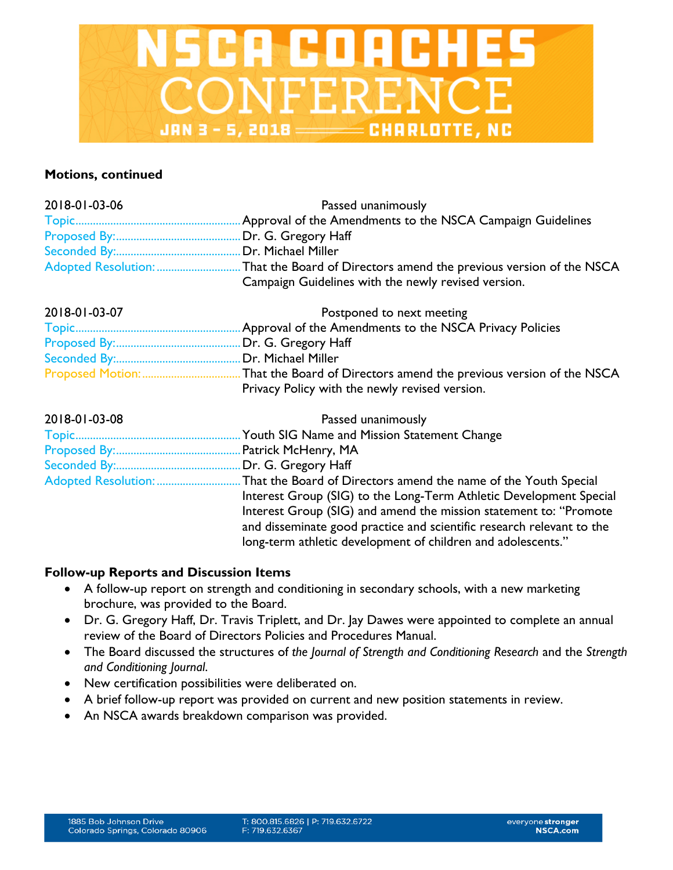

#### **Motions, continued**

| 2018-01-03-06 | Passed unanimously                                                    |
|---------------|-----------------------------------------------------------------------|
|               | Approval of the Amendments to the NSCA Campaign Guidelines            |
|               | Dr. G. Gregory Haff                                                   |
|               |                                                                       |
|               |                                                                       |
|               | Campaign Guidelines with the newly revised version.                   |
| 2018-01-03-07 | Postponed to next meeting                                             |
|               |                                                                       |
|               |                                                                       |
|               |                                                                       |
|               | That the Board of Directors amend the previous version of the NSCA    |
|               | Privacy Policy with the newly revised version.                        |
| 2018-01-03-08 | Passed unanimously                                                    |
|               |                                                                       |
|               | Patrick McHenry, MA                                                   |
|               |                                                                       |
|               |                                                                       |
|               | Interest Group (SIG) to the Long-Term Athletic Development Special    |
|               | Interest Group (SIG) and amend the mission statement to: "Promote     |
|               | and disseminate good practice and scientific research relevant to the |
|               | long-term athletic development of children and adolescents."          |

## **Follow-up Reports and Discussion Items**

- A follow-up report on strength and conditioning in secondary schools, with a new marketing brochure, was provided to the Board.
- Dr. G. Gregory Haff, Dr. Travis Triplett, and Dr. Jay Dawes were appointed to complete an annual review of the Board of Directors Policies and Procedures Manual.
- The Board discussed the structures of *the Journal of Strength and Conditioning Research* and the *Strength and Conditioning Journal*.
- New certification possibilities were deliberated on.
- A brief follow-up report was provided on current and new position statements in review.
- An NSCA awards breakdown comparison was provided.